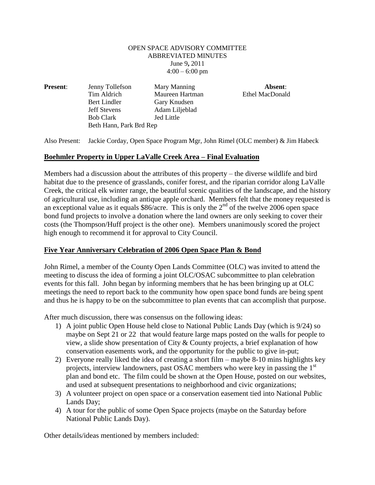## OPEN SPACE ADVISORY COMMITTEE ABBREVIATED MINUTES June 9**,** 2011  $4:00 - 6:00$  pm

**Present:** Jenny Tollefson Mary Manning **Absent:** Tim Aldrich Maureen Hartman Ethel MacDonald Bert Lindler Gary Knudsen Jeff Stevens Adam Liljeblad Bob Clark Jed Little Beth Hann, Park Brd Rep

Also Present: Jackie Corday, Open Space Program Mgr, John Rimel (OLC member) & Jim Habeck

## **Boehmler Property in Upper LaValle Creek Area – Final Evaluation**

Members had a discussion about the attributes of this property – the diverse wildlife and bird habitat due to the presence of grasslands, conifer forest, and the riparian corridor along LaValle Creek, the critical elk winter range, the beautiful scenic qualities of the landscape, and the history of agricultural use, including an antique apple orchard. Members felt that the money requested is an exceptional value as it equals  $$86/$ acre. This is only the  $2<sup>nd</sup>$  of the twelve 2006 open space bond fund projects to involve a donation where the land owners are only seeking to cover their costs (the Thompson/Huff project is the other one). Members unanimously scored the project high enough to recommend it for approval to City Council.

## **Five Year Anniversary Celebration of 2006 Open Space Plan & Bond**

John Rimel, a member of the County Open Lands Committee (OLC) was invited to attend the meeting to discuss the idea of forming a joint OLC/OSAC subcommittee to plan celebration events for this fall. John began by informing members that he has been bringing up at OLC meetings the need to report back to the community how open space bond funds are being spent and thus he is happy to be on the subcommittee to plan events that can accomplish that purpose.

After much discussion, there was consensus on the following ideas:

- 1) A joint public Open House held close to National Public Lands Day (which is 9/24) so maybe on Sept 21 or 22 that would feature large maps posted on the walls for people to view, a slide show presentation of City & County projects, a brief explanation of how conservation easements work, and the opportunity for the public to give in-put;
- 2) Everyone really liked the idea of creating a short film maybe 8-10 mins highlights key projects, interview landowners, past OSAC members who were key in passing the  $1<sup>st</sup>$ plan and bond etc. The film could be shown at the Open House, posted on our websites, and used at subsequent presentations to neighborhood and civic organizations;
- 3) A volunteer project on open space or a conservation easement tied into National Public Lands Day;
- 4) A tour for the public of some Open Space projects (maybe on the Saturday before National Public Lands Day).

Other details/ideas mentioned by members included: